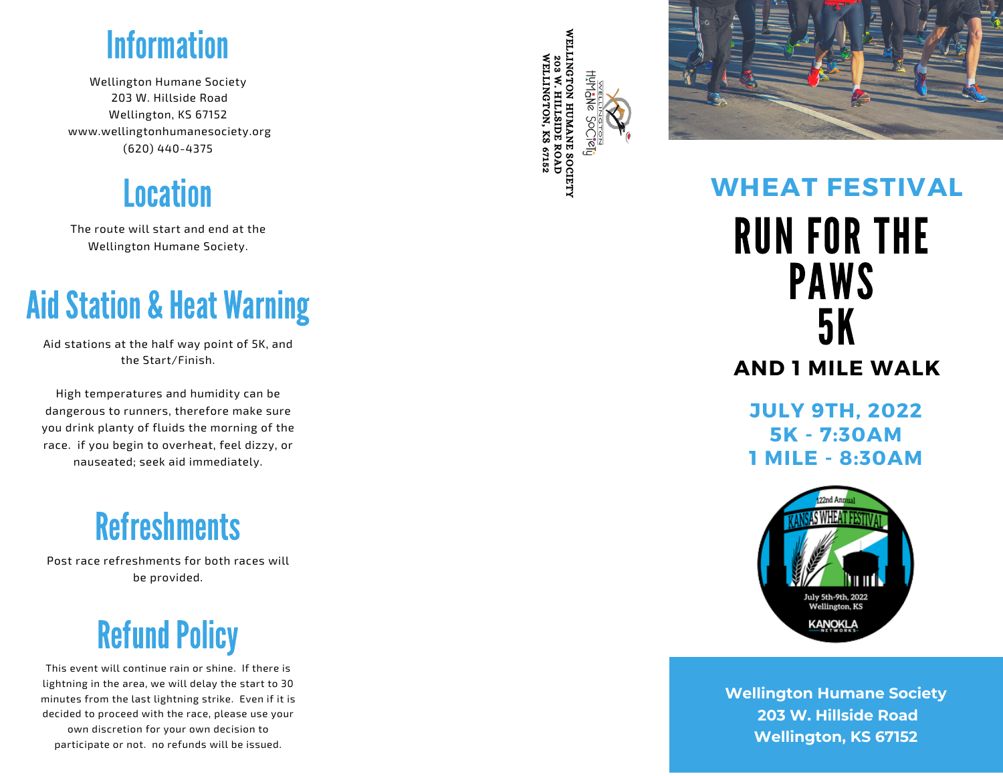

Wellington Humane Society 203 W. Hillside Road Wellington, KS 67152 www.wellingtonhumanesociety.org (620) 440-437! **Information**<br>Uington Humane Socie<br>203 W. Hillside Road<br>Wellington, KS 67152<br>vellingtonhumanesocie<br>(620) 440-4375

**Location** 

The route will start and end at the Wellington Humane Societ<sup>.</sup>

Aid stations at the half way point of 5K, and the Start/Finish.

High temperatures and humidit y c a n b e dangerous to runners, therefore make sure you drink planty of fluids the morning of the race. if you begin to overheat, feel dizzy, or nauseated; seek aid immediatel Aid Stations at the half way point of 5K, and<br>the Start/Finish.<br>High temperatures and humidity can be<br>dangerous to runners, therefore make sure<br>you drink planty of fluids the morning of the<br>race. if you begin to overheat,

# Refreshments for both ra

Post race refreshments for both races will be provide

### **Refund Policy**

This event will continue rain or shine. If there is lightning in the area, we will delay the start to 30 minutes from the last lightning strike. Even if it is decided to proceed with the race, please use your own discretion for your own decision to participate or not. no refunds will be issued.

WELLINGTON WELLINGTON, 203 W. HILLSIDE HUMANE KS eĘ, ROAD 67152 SOCIETY



#### **WHEAT FESTIVAL** RUN FOR THE PAWS 5 K **AND 1 MILE WALK**

**J U L Y 9 T H , 2 0 2 2 5 K - 7 : 3 0 A M 1** MILE - 8:30AM



**Wellington Humane Society 2 0 3 W .H i l l s i d e R o a d W e l l i n g t o n , K S 6 7 1 5 2**